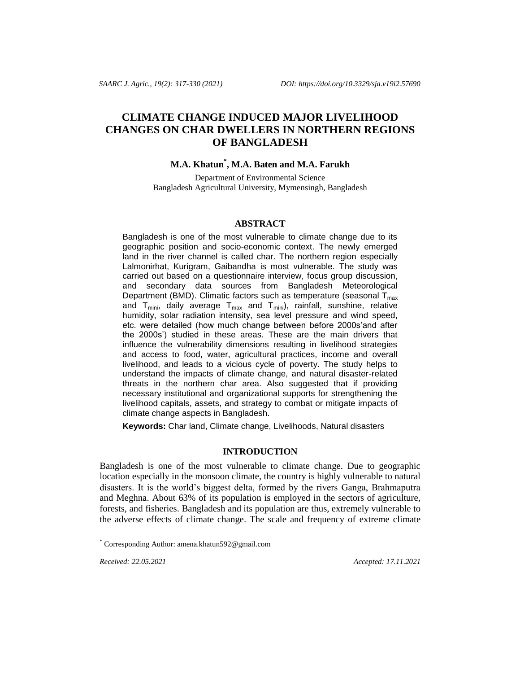# **CLIMATE CHANGE INDUCED MAJOR LIVELIHOOD CHANGES ON CHAR DWELLERS IN NORTHERN REGIONS OF BANGLADESH**

## **M.A. Khatun\* , M.A. Baten and M.A. Farukh**

Department of Environmental Science Bangladesh Agricultural University, Mymensingh, Bangladesh

### **ABSTRACT**

Bangladesh is one of the most vulnerable to climate change due to its geographic position and socio-economic context. The newly emerged land in the river channel is called char. The northern region especially Lalmonirhat, Kurigram, Gaibandha is most vulnerable. The study was carried out based on a questionnaire interview, focus group discussion, and secondary data sources from Bangladesh Meteorological Department (BMD). Climatic factors such as temperature (seasonal  $T_{max}$ ) and  $T_{mini}$ , daily average  $T_{max}$  and  $T_{mini}$ ), rainfall, sunshine, relative humidity, solar radiation intensity, sea level pressure and wind speed, etc. were detailed (how much change between before 2000s'and after the 2000s') studied in these areas. These are the main drivers that influence the vulnerability dimensions resulting in livelihood strategies and access to food, water, agricultural practices, income and overall livelihood, and leads to a vicious cycle of poverty. The study helps to understand the impacts of climate change, and natural disaster-related threats in the northern char area. Also suggested that if providing necessary institutional and organizational supports for strengthening the livelihood capitals, assets, and strategy to combat or mitigate impacts of climate change aspects in Bangladesh.

**Keywords:** Char land, Climate change, Livelihoods, Natural disasters

### **INTRODUCTION**

Bangladesh is one of the most vulnerable to climate change. Due to geographic location especially in the monsoon climate, the country is highly vulnerable to natural disasters. It is the world's biggest delta, formed by the rivers Ganga, Brahmaputra and Meghna. About 63% of its population is employed in the sectors of agriculture, forests, and fisheries. Bangladesh and its population are thus, extremely vulnerable to the adverse effects of climate change. The scale and frequency of extreme climate

l

*Received: 22.05.2021 Accepted: 17.11.2021*

Corresponding Author[: amena.khatun592@gmail.com](mailto:amena.khatun592@gmail.com)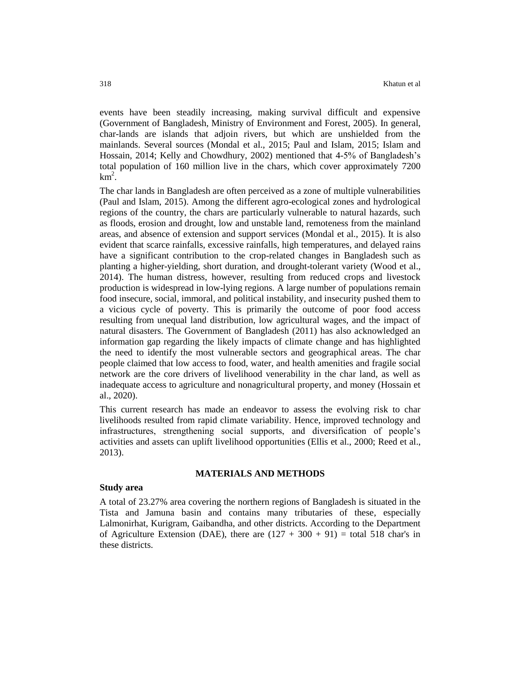events have been steadily increasing, making survival difficult and expensive (Government of Bangladesh, Ministry of Environment and Forest, 2005). In general, char-lands are islands that adjoin rivers, but which are unshielded from the mainlands. Several sources (Mondal et al., 2015; Paul and Islam, 2015; Islam and Hossain, 2014; Kelly and Chowdhury, 2002) mentioned that 4-5% of Bangladesh's total population of 160 million live in the chars, which cover approximately 7200  $km^2$ .

The char lands in Bangladesh are often perceived as a zone of multiple vulnerabilities (Paul and Islam, 2015). Among the different agro-ecological zones and hydrological regions of the country, the chars are particularly vulnerable to natural hazards, such as floods, erosion and drought, low and unstable land, remoteness from the mainland areas, and absence of extension and support services (Mondal et al., 2015). It is also evident that scarce rainfalls, excessive rainfalls, high temperatures, and delayed rains have a significant contribution to the crop-related changes in Bangladesh such as planting a higher-yielding, short duration, and drought-tolerant variety (Wood et al., 2014). The human distress, however, resulting from reduced crops and livestock production is widespread in low-lying regions. A large number of populations remain food insecure, social, immoral, and political instability, and insecurity pushed them to a vicious cycle of poverty. This is primarily the outcome of poor food access resulting from unequal land distribution, low agricultural wages, and the impact of natural disasters. The Government of Bangladesh (2011) has also acknowledged an information gap regarding the likely impacts of climate change and has highlighted the need to identify the most vulnerable sectors and geographical areas. The char people claimed that low access to food, water, and health amenities and fragile social network are the core drivers of livelihood venerability in the char land, as well as inadequate access to agriculture and nonagricultural property, and money (Hossain et al., 2020).

This current research has made an endeavor to assess the evolving risk to char livelihoods resulted from rapid climate variability. Hence, improved technology and infrastructures, strengthening social supports, and diversification of people's activities and assets can uplift livelihood opportunities (Ellis et al., 2000; Reed et al., 2013).

### **MATERIALS AND METHODS**

#### **Study area**

A total of 23.27% area covering the northern regions of Bangladesh is situated in the Tista and Jamuna basin and contains many tributaries of these, especially Lalmonirhat, Kurigram, Gaibandha, and other districts. According to the Department of Agriculture Extension (DAE), there are  $(127 + 300 + 91) =$  total 518 char's in these districts.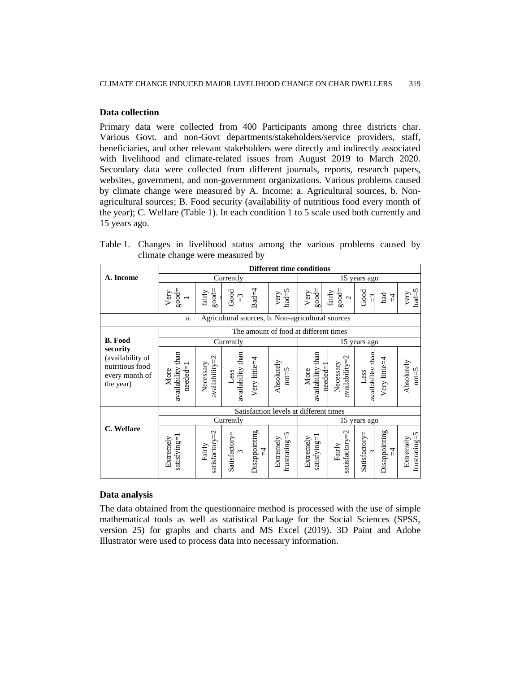### **Data collection**

Primary data were collected from 400 Participants among three districts char. Various Govt. and non-Govt departments/stakeholders/service providers, staff, beneficiaries, and other relevant stakeholders were directly and indirectly associated with livelihood and climate-related issues from August 2019 to March 2020. Secondary data were collected from different journals, reports, research papers, websites, government, and non-government organizations. Various problems caused by climate change were measured by A. Income: a. Agricultural sources, b. Nonagricultural sources; B. Food security (availability of nutritious food every month of the year); C. Welfare (Table 1). In each condition 1 to 5 scale used both currently and 15 years ago.

|  | Table 1. Changes in livelihood status among the various problems caused by |  |  |  |  |
|--|----------------------------------------------------------------------------|--|--|--|--|
|  | climate change were measured by                                            |  |  |  |  |

|                                                                                |                                       |                                    |                             |                    | <b>Different time conditions</b>                  |                                         |                                    |                           |                      |                                      |  |
|--------------------------------------------------------------------------------|---------------------------------------|------------------------------------|-----------------------------|--------------------|---------------------------------------------------|-----------------------------------------|------------------------------------|---------------------------|----------------------|--------------------------------------|--|
| A. Income                                                                      |                                       |                                    | Currently                   |                    |                                                   | 15 years ago                            |                                    |                           |                      |                                      |  |
|                                                                                | $good =$<br>Very                      | $good =$<br>fairly                 | Good<br>$\tilde{v}$         | $Bad=4$            | $bad = 5$<br>very                                 | $good=$<br>Very                         | $good =$<br>fairly<br>$\sim$       | Good<br>ျ                 | bad<br>$\frac{1}{2}$ | $bad = 5$<br>very                    |  |
|                                                                                | a.                                    |                                    |                             |                    | Agricultural sources, b. Non-agricultural sources |                                         |                                    |                           |                      |                                      |  |
|                                                                                |                                       |                                    |                             |                    |                                                   | The amount of food at different times   |                                    |                           |                      |                                      |  |
| <b>B.</b> Food                                                                 | Currently                             |                                    |                             |                    |                                                   |                                         |                                    | 15 years ago              |                      |                                      |  |
| security<br>(availability of<br>nutritious food<br>every month of<br>the year) | availability than<br>$need=1$<br>More | $a$ vailability $=$ 2<br>Necessary | availability than<br>Less   | Very little=4      | Absolutely<br>$not=5$                             | availability than<br>$need = 1$<br>More | $a$ vailability $=$ 2<br>Necessary | availability thar<br>Less | Very little=4        | Absolutely<br>$not=5$                |  |
|                                                                                |                                       |                                    |                             |                    | Satisfaction levels at different times            |                                         |                                    |                           |                      |                                      |  |
|                                                                                |                                       |                                    | Currently                   |                    |                                                   |                                         | 15                                 | years ago                 |                      |                                      |  |
| C. Welfare                                                                     | satisfying=1<br>Extremely             | satisfactory=2<br>Fairly           | Satisfactory=<br>$\epsilon$ | Disappointing<br>4 | frustrating=5<br>Extremely                        | satisfying=1<br>Extremely               | satisfactory=2<br>Fairly           | Satisfactory=<br>$\sim$   | Disappointing<br>4   | ${\rm frust rating}$ =5<br>Extremely |  |

### **Data analysis**

The data obtained from the questionnaire method is processed with the use of simple mathematical tools as well as statistical Package for the Social Sciences (SPSS, version 25) for graphs and charts and MS Excel (2019). 3D Paint and Adobe Illustrator were used to process data into necessary information.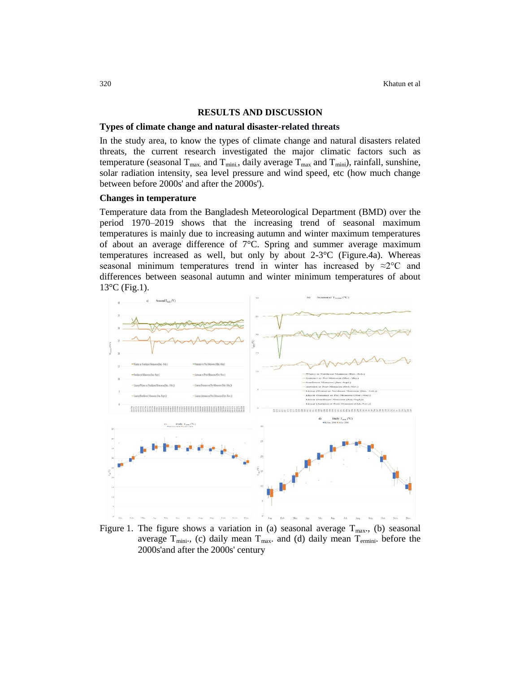#### **RESULTS AND DISCUSSION**

#### **Types of climate change and natural disaster-related threats**

In the study area, to know the types of climate change and natural disasters related threats, the current research investigated the major climatic factors such as temperature (seasonal  $T_{\text{max}}$  and  $T_{\text{min}}$ , daily average  $T_{\text{max}}$  and  $T_{\text{min}}$ ), rainfall, sunshine, solar radiation intensity, sea level pressure and wind speed, etc (how much change between before 2000s' and after the 2000s').

#### **Changes in temperature**

Temperature data from the Bangladesh Meteorological Department (BMD) over the period 1970–2019 shows that the increasing trend of seasonal maximum temperatures is mainly due to increasing autumn and winter maximum temperatures of about an average difference of  $7^{\circ}$ C. Spring and summer average maximum temperatures increased as well, but only by about  $2-3$ °C (Figure.4a). Whereas seasonal minimum temperatures trend in winter has increased by  $\approx 2^{\circ}C$  and differences between seasonal autumn and winter minimum temperatures of about  $13^{\circ}$ C (Fig.1).



Figure 1. The figure shows a variation in (a) seasonal average  $T_{\text{max}}$ , (b) seasonal average  $T_{min}$ , (c) daily mean  $T_{max}$ . and (d) daily mean  $T_{ermin}$ . before the 2000s'and after the 2000s' century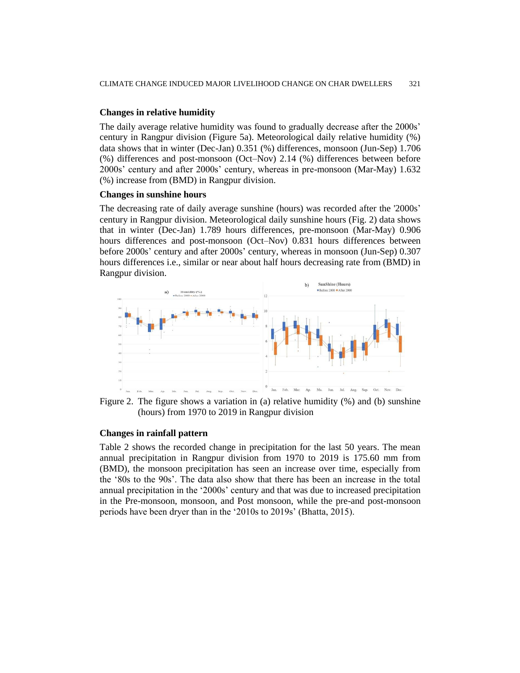### **Changes in relative humidity**

The daily average relative humidity was found to gradually decrease after the 2000s' century in Rangpur division (Figure 5a). Meteorological daily relative humidity (%) data shows that in winter (Dec-Jan) 0.351 (%) differences, monsoon (Jun-Sep) 1.706 (%) differences and post-monsoon (Oct–Nov) 2.14 (%) differences between before 2000s' century and after 2000s' century, whereas in pre-monsoon (Mar-May) 1.632 (%) increase from (BMD) in Rangpur division.

#### **Changes in sunshine hours**

The decreasing rate of daily average sunshine (hours) was recorded after the '2000s' century in Rangpur division. Meteorological daily sunshine hours (Fig. 2) data shows that in winter (Dec-Jan) 1.789 hours differences, pre-monsoon (Mar-May) 0.906 hours differences and post-monsoon (Oct–Nov) 0.831 hours differences between before 2000s' century and after 2000s' century, whereas in monsoon (Jun-Sep) 0.307 hours differences i.e., similar or near about half hours decreasing rate from (BMD) in Rangpur division.



Figure 2. The figure shows a variation in (a) relative humidity (%) and (b) sunshine (hours) from 1970 to 2019 in Rangpur division

### **Changes in rainfall pattern**

Table 2 shows the recorded change in precipitation for the last 50 years. The mean annual precipitation in Rangpur division from 1970 to 2019 is 175.60 mm from (BMD), the monsoon precipitation has seen an increase over time, especially from the '80s to the 90s'. The data also show that there has been an increase in the total annual precipitation in the '2000s' century and that was due to increased precipitation in the Pre-monsoon, monsoon, and Post monsoon, while the pre-and post-monsoon periods have been dryer than in the '2010s to 2019s' (Bhatta, 2015).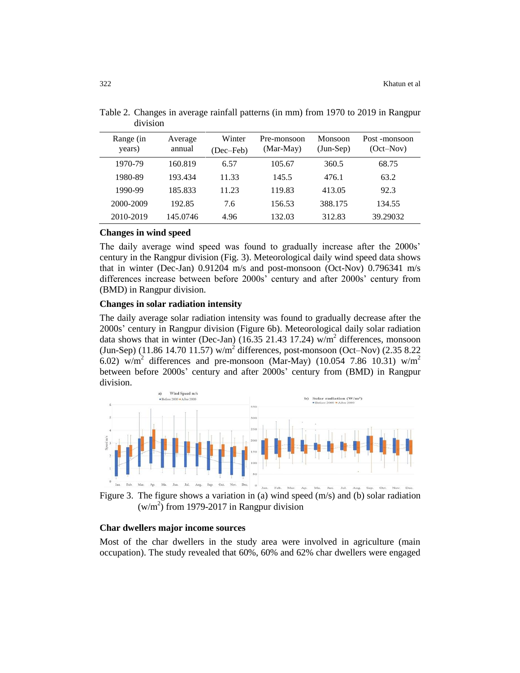| Range (in<br>years) | Average<br>annual | Winter<br>(Dec-Feb) | Pre-monsoon<br>(Mar-May) | Monsoon<br>$(Jun-Sep)$ | Post-monsoon<br>$(Oct-Mov)$ |
|---------------------|-------------------|---------------------|--------------------------|------------------------|-----------------------------|
| 1970-79             | 160.819           | 6.57                | 105.67                   | 360.5                  | 68.75                       |
| 1980-89             | 193.434           | 11.33               | 145.5                    | 476.1                  | 63.2                        |
| 1990-99             | 185.833           | 11.23               | 119.83                   | 413.05                 | 92.3                        |
| 2000-2009           | 192.85            | 7.6                 | 156.53                   | 388.175                | 134.55                      |
| 2010-2019           | 145.0746          | 4.96                | 132.03                   | 312.83                 | 39.29032                    |

Table 2. Changes in average rainfall patterns (in mm) from 1970 to 2019 in Rangpur division

#### **Changes in wind speed**

The daily average wind speed was found to gradually increase after the 2000s' century in the Rangpur division (Fig. 3). Meteorological daily wind speed data shows that in winter (Dec-Jan) 0.91204 m/s and post-monsoon (Oct-Nov) 0.796341 m/s differences increase between before 2000s' century and after 2000s' century from (BMD) in Rangpur division.

### **Changes in solar radiation intensity**

The daily average solar radiation intensity was found to gradually decrease after the 2000s' century in Rangpur division (Figure 6b). Meteorological daily solar radiation data shows that in winter (Dec-Jan) (16.35 21.43 17.24) w/m<sup>2</sup> differences, monsoon  $(Jun-Sep)$  (11.86 14.70 11.57) w/m<sup>2</sup> differences, post-monsoon (Oct–Nov) (2.35 8.22) 6.02) w/m<sup>2</sup> differences and pre-monsoon (Mar-May) (10.054 7.86 10.31) w/m<sup>2</sup> between before 2000s' century and after 2000s' century from (BMD) in Rangpur division.



Figure 3. The figure shows a variation in (a) wind speed  $(m/s)$  and (b) solar radiation  $(w/m<sup>2</sup>)$  from 1979-2017 in Rangpur division

### **Char dwellers major income sources**

Most of the char dwellers in the study area were involved in agriculture (main occupation). The study revealed that 60%, 60% and 62% char dwellers were engaged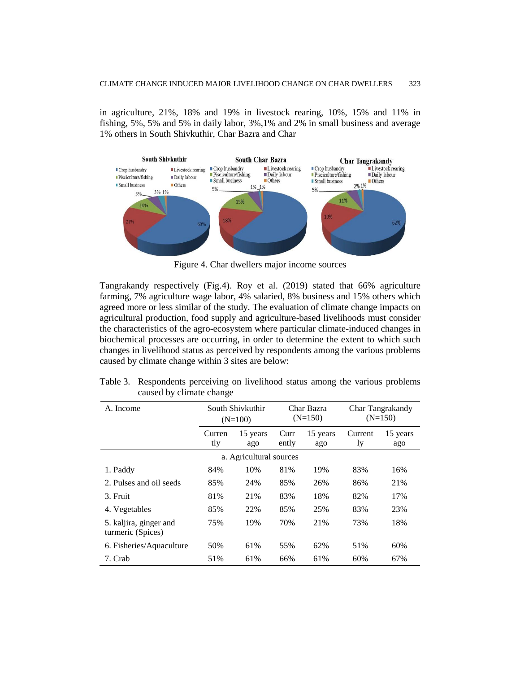in agriculture, 21%, 18% and 19% in livestock rearing, 10%, 15% and 11% in fishing, 5%, 5% and 5% in daily labor, 3%,1% and 2% in small business and average 1% others in South Shivkuthir, Char Bazra and Char



Figure 4. Char dwellers major income sources

Tangrakandy respectively (Fig.4). Roy et al. (2019) stated that 66% agriculture farming, 7% agriculture wage labor, 4% salaried, 8% business and 15% others which agreed more or less similar of the study. The evaluation of climate change impacts on agricultural production, food supply and agriculture-based livelihoods must consider the characteristics of the agro-ecosystem where particular climate-induced changes in biochemical processes are occurring, in order to determine the extent to which such changes in livelihood status as perceived by respondents among the various problems caused by climate change within 3 sites are below:

| Table 3. Respondents perceiving on livelihood status among the various problems |  |  |  |  |
|---------------------------------------------------------------------------------|--|--|--|--|
| caused by climate change                                                        |  |  |  |  |

| A. Income                                   | South Shivkuthir<br>$(N=100)$ |                 |               | Char Bazra<br>$(N=150)$ | Char Tangrakandy<br>$(N=150)$ |                 |  |  |
|---------------------------------------------|-------------------------------|-----------------|---------------|-------------------------|-------------------------------|-----------------|--|--|
|                                             | Curren<br>tly                 | 15 years<br>ago | Curr<br>ently | 15 years<br>ago         | Current<br>ly                 | 15 years<br>ago |  |  |
| a. Agricultural sources                     |                               |                 |               |                         |                               |                 |  |  |
| 1. Paddy                                    | 84%                           | 10%             | 81%           | 19%                     | 83%                           | 16%             |  |  |
| 2. Pulses and oil seeds                     | 85%                           | 24%             | 85%           | 26%                     | 86%                           | 21%             |  |  |
| 3. Fruit                                    | 81%                           | 21%             | 83%           | 18%                     | 82%                           | 17%             |  |  |
| 4. Vegetables                               | 85%                           | 22%             | 85%           | 25%                     | 83%                           | 23%             |  |  |
| 5. kaljira, ginger and<br>turmeric (Spices) | 75%                           | 19%             | 70%           | 21%                     | 73%                           | 18%             |  |  |
| 6. Fisheries/Aquaculture                    | 50%                           | 61%             | 55%           | 62%                     | 51%                           | 60%             |  |  |
| 7. Crab                                     | 51%                           | 61%             | 66%           | 61%                     | 60%                           | 67%             |  |  |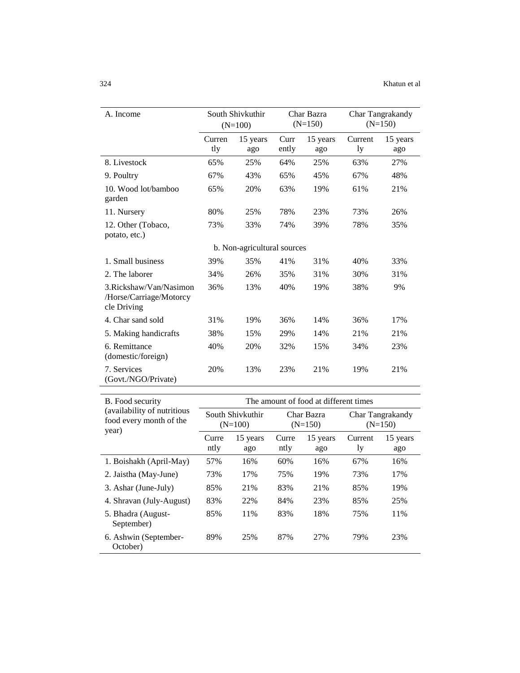| A. Income                                                         |               | South Shivkuthir<br>$(N=100)$ |               | Char Bazra<br>$(N=150)$ | Char Tangrakandy<br>$(N=150)$ |                 |
|-------------------------------------------------------------------|---------------|-------------------------------|---------------|-------------------------|-------------------------------|-----------------|
|                                                                   | Curren<br>tly | 15 years<br>ago               | Curr<br>ently | 15 years<br>ago         | Current<br>ly                 | 15 years<br>ago |
| 8. Livestock                                                      | 65%           | 25%                           | 64%           | 25%                     | 63%                           | 27%             |
| 9. Poultry                                                        | 67%           | 43%                           | 65%           | 45%                     | 67%                           | 48%             |
| 10. Wood lot/bamboo<br>garden                                     | 65%           | 20%                           | 63%           | 19%                     | 61%                           | 21%             |
| 11. Nursery                                                       | 80%           | 25%                           | 78%           | 23%                     | 73%                           | 26%             |
| 12. Other (Tobaco,<br>potato, etc.)                               | 73%           | 33%                           | 74%           | 39%                     | 78%                           | 35%             |
|                                                                   |               | b. Non-agricultural sources   |               |                         |                               |                 |
| 1. Small business                                                 | 39%           | 35%                           | 41%           | 31%                     | 40%                           | 33%             |
| 2. The laborer                                                    | 34%           | 26%                           | 35%           | 31%                     | 30%                           | 31%             |
| 3. Rickshaw/Van/Nasimon<br>/Horse/Carriage/Motorcy<br>cle Driving | 36%           | 13%                           | 40%           | 19%                     | 38%                           | 9%              |
| 4. Char sand sold                                                 | 31%           | 19%                           | 36%           | 14%                     | 36%                           | 17%             |
| 5. Making handicrafts                                             | 38%           | 15%                           | 29%           | 14%                     | 21%                           | 21%             |
| 6. Remittance<br>(domestic/foreign)                               | 40%           | 20%                           | 32%           | 15%                     | 34%                           | 23%             |
| 7. Services<br>(Govt./NGO/Private)                                | 20%           | 13%                           | 23%           | 21%                     | 19%                           | 21%             |

| B. Food security                                                 | The amount of food at different times |                               |               |                         |                               |                 |  |  |  |
|------------------------------------------------------------------|---------------------------------------|-------------------------------|---------------|-------------------------|-------------------------------|-----------------|--|--|--|
| (availability of nutritious)<br>food every month of the<br>year) |                                       | South Shivkuthir<br>$(N=100)$ |               | Char Bazra<br>$(N=150)$ | Char Tangrakandy<br>$(N=150)$ |                 |  |  |  |
|                                                                  | Curre<br>ntly                         | 15 years<br>ago               | Curre<br>ntly | 15 years<br>ago         | Current<br>ly                 | 15 years<br>ago |  |  |  |
| 1. Boishakh (April-May)                                          | 57%                                   | 16%                           | 60%           | 16%                     | 67%                           | 16%             |  |  |  |
| 2. Jaistha (May-June)                                            | 73%                                   | 17%                           | 75%           | 19%                     | 73%                           | 17%             |  |  |  |
| 3. Ashar (June-July)                                             | 85%                                   | 21%                           | 83%           | 21%                     | 85%                           | 19%             |  |  |  |
| 4. Shravan (July-August)                                         | 83%                                   | 22%                           | 84%           | 23%                     | 85%                           | 25%             |  |  |  |
| 5. Bhadra (August-<br>September)                                 | 85%                                   | 11%                           | 83%           | 18%                     | 75%                           | 11%             |  |  |  |
| 6. Ashwin (September-<br>October)                                | 89%                                   | 25%                           | 87%           | 27%                     | 79%                           | 23%             |  |  |  |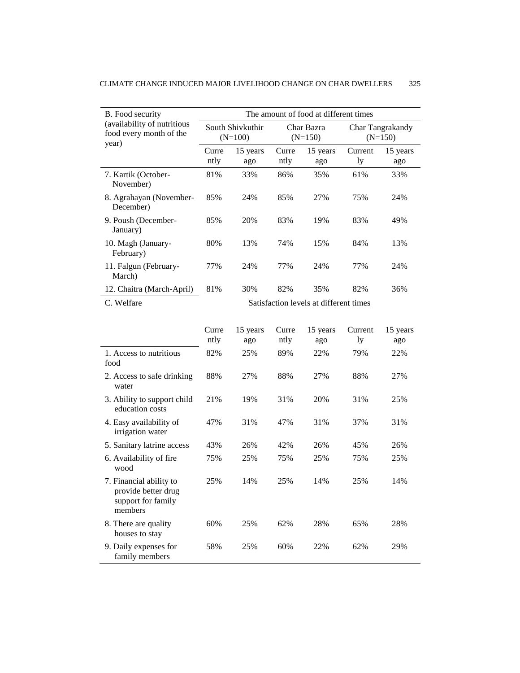| B. Food security                                                | The amount of food at different times  |                               |               |                         |                               |                 |  |  |
|-----------------------------------------------------------------|----------------------------------------|-------------------------------|---------------|-------------------------|-------------------------------|-----------------|--|--|
| (availability of nutritious<br>food every month of the<br>year) |                                        | South Shivkuthir<br>$(N=100)$ |               | Char Bazra<br>$(N=150)$ | Char Tangrakandy<br>$(N=150)$ |                 |  |  |
|                                                                 | Curre<br>ntly                          | 15 years<br>ago               | Curre<br>ntly | 15 years<br>ago         | Current<br>ly                 | 15 years<br>ago |  |  |
| 7. Kartik (October-<br>November)                                | 81%                                    | 33%                           | 86%           | 35%                     | 61%                           | 33%             |  |  |
| 8. Agrahayan (November-<br>December)                            | 85%                                    | 24%                           | 85%           | 27%                     | 75%                           | 24%             |  |  |
| 9. Poush (December-<br>January)                                 | 85%                                    | 20%                           | 83%           | 19%                     | 83%                           | 49%             |  |  |
| 10. Magh (January-<br>February)                                 | 80%                                    | 13%                           | 74%           | 15%                     | 84%                           | 13%             |  |  |
| 11. Falgun (February-<br>March)                                 | 77%                                    | 24%                           | 77%           | 24%                     | 77%                           | 24%             |  |  |
| 12. Chaitra (March-April)                                       | 81%                                    | 30%                           | 82%           | 35%                     | 82%                           | 36%             |  |  |
| C. Welfare                                                      | Satisfaction levels at different times |                               |               |                         |                               |                 |  |  |
|                                                                 | Curre<br>ntly                          | 15 years<br>ago               | Curre<br>ntly | 15 years<br>ago         | Current<br>1y                 | 15 years<br>ago |  |  |
| 1. Access to nutritious<br>food                                 | 82%                                    | 25%                           | 89%           | 22%                     | 79%                           | 22%             |  |  |
| 2. Access to safe drinking<br>water                             | 88%                                    | 27%                           | 88%           | 27%                     | 88%                           | 27%             |  |  |
| 3. Ability to support child<br>education costs                  | 21%                                    | 19%                           | 31%           | 20%                     | 31%                           | 25%             |  |  |
| 4. Easy availability of<br>irrigation water                     | 47%                                    | 31%                           | 47%           | 31%                     | 37%                           | 31%             |  |  |
| 5. Sanitary latrine access                                      | 43%                                    | 26%                           | 42%           | 26%                     | 45%                           | 26%             |  |  |
| 6. Availability of fire<br>wood                                 | 75%                                    | 25%                           | 75%           | 25%                     | 75%                           | 25%             |  |  |

25% 14% 25% 14% 25% 14%

60% 25% 62% 28% 65% 28%

58% 25% 60% 22% 62% 29%

7. Financial ability to provide better drug support for family

members

8. There are quality houses to stay

9. Daily expenses for family members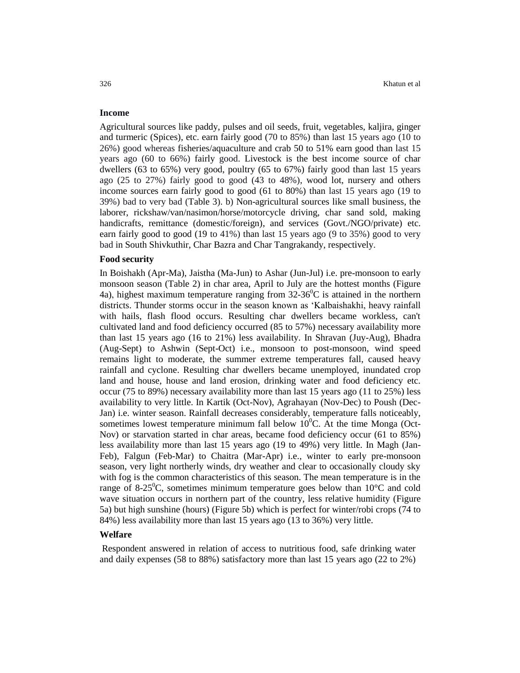### **Income**

Agricultural sources like paddy, pulses and oil seeds, fruit, vegetables, kaljira, ginger and turmeric (Spices), etc. earn fairly good (70 to 85%) than last 15 years ago (10 to 26%) good whereas fisheries/aquaculture and crab 50 to 51% earn good than last 15 years ago (60 to 66%) fairly good. Livestock is the best income source of char dwellers (63 to 65%) very good, poultry (65 to 67%) fairly good than last 15 years ago (25 to 27%) fairly good to good (43 to 48%), wood lot, nursery and others income sources earn fairly good to good (61 to 80%) than last 15 years ago (19 to 39%) bad to very bad (Table 3). b) Non-agricultural sources like small business, the laborer, rickshaw/van/nasimon/horse/motorcycle driving, char sand sold, making handicrafts, remittance (domestic/foreign), and services (Govt./NGO/private) etc. earn fairly good to good (19 to 41%) than last 15 years ago (9 to 35%) good to very bad in South Shivkuthir, Char Bazra and Char Tangrakandy, respectively.

#### **Food security**

In Boishakh (Apr-Ma), Jaistha (Ma-Jun) to Ashar (Jun-Jul) i.e. pre-monsoon to early monsoon season (Table 2) in char area, April to July are the hottest months (Figure 4a), highest maximum temperature ranging from  $32-36^{\circ}$ C is attained in the northern districts. Thunder storms occur in the season known as 'Kalbaishakhi, heavy rainfall with hails, flash flood occurs. Resulting char dwellers became workless, can't cultivated land and food deficiency occurred (85 to 57%) necessary availability more than last 15 years ago (16 to 21%) less availability. In Shravan (Juy-Aug), Bhadra (Aug-Sept) to Ashwin (Sept-Oct) i.e., monsoon to post-monsoon, wind speed remains light to moderate, the summer extreme temperatures fall, caused heavy rainfall and cyclone. Resulting char dwellers became unemployed, inundated crop land and house, house and land erosion, drinking water and food deficiency etc. occur (75 to 89%) necessary availability more than last 15 years ago (11 to 25%) less availability to very little. In Kartik (Oct-Nov), Agrahayan (Nov-Dec) to Poush (Dec-Jan) i.e. winter season. Rainfall decreases considerably, temperature falls noticeably, sometimes lowest temperature minimum fall below  $10^{0}$ C. At the time Monga (Oct-Nov) or starvation started in char areas, became food deficiency occur (61 to 85%) less availability more than last 15 years ago (19 to 49%) very little. In Magh (Jan-Feb), Falgun (Feb-Mar) to Chaitra (Mar-Apr) i.e., winter to early pre-monsoon season, very light northerly winds, dry weather and clear to occasionally cloudy sky with fog is the common characteristics of this season. The mean temperature is in the range of 8-25 $\degree$ C, sometimes minimum temperature goes below than 10 $\degree$ C and cold wave situation occurs in northern part of the country, less relative humidity (Figure 5a) but high sunshine (hours) (Figure 5b) which is perfect for winter/robi crops (74 to 84%) less availability more than last 15 years ago (13 to 36%) very little.

### **Welfare**

Respondent answered in relation of access to nutritious food, safe drinking water and daily expenses (58 to 88%) satisfactory more than last 15 years ago (22 to 2%)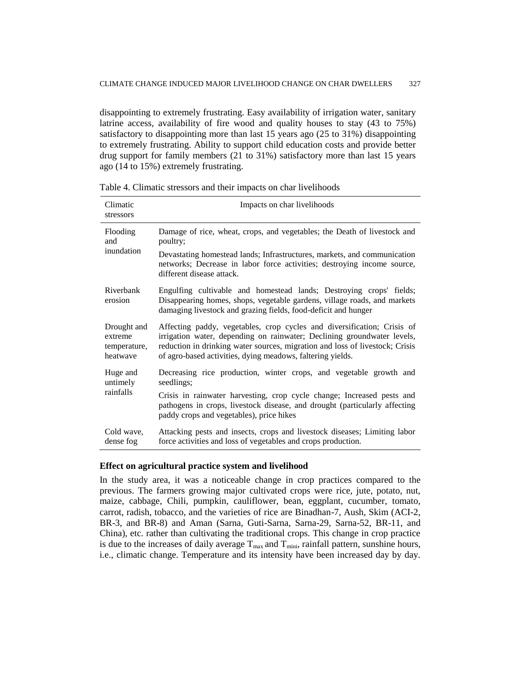disappointing to extremely frustrating. Easy availability of irrigation water, sanitary latrine access, availability of fire wood and quality houses to stay (43 to 75%) satisfactory to disappointing more than last 15 years ago (25 to 31%) disappointing to extremely frustrating. Ability to support child education costs and provide better drug support for family members (21 to 31%) satisfactory more than last 15 years ago (14 to 15%) extremely frustrating.

| Climatic<br>stressors | Impacts on char livelihoods                                                                                                                                                                                       |
|-----------------------|-------------------------------------------------------------------------------------------------------------------------------------------------------------------------------------------------------------------|
| Flooding              | Damage of rice, wheat, crops, and vegetables; the Death of livestock and                                                                                                                                          |
| and                   | poultry;                                                                                                                                                                                                          |
| inundation            | Devastating homestead lands; Infrastructures, markets, and communication<br>networks; Decrease in labor force activities; destroying income source,<br>different disease attack.                                  |
| Riverbank<br>erosion  | Engulfing cultivable and homestead lands; Destroying crops' fields;<br>Disappearing homes, shops, vegetable gardens, village roads, and markets<br>damaging livestock and grazing fields, food-deficit and hunger |
| Drought and           | Affecting paddy, vegetables, crop cycles and diversification; Crisis of                                                                                                                                           |
| extreme               | irrigation water, depending on rainwater; Declining groundwater levels,                                                                                                                                           |
| temperature,          | reduction in drinking water sources, migration and loss of livestock; Crisis                                                                                                                                      |
| heatwaye              | of agro-based activities, dying meadows, faltering yields.                                                                                                                                                        |
| Huge and              | Decreasing rice production, winter crops, and vegetable growth and                                                                                                                                                |
| untimely              | seedlings;                                                                                                                                                                                                        |
| rainfalls             | Crisis in rainwater harvesting, crop cycle change; Increased pests and<br>pathogens in crops, livestock disease, and drought (particularly affecting<br>paddy crops and vegetables), price hikes                  |
| Cold wave,            | Attacking pests and insects, crops and livestock diseases; Limiting labor                                                                                                                                         |
| dense fog             | force activities and loss of vegetables and crops production.                                                                                                                                                     |

Table 4. Climatic stressors and their impacts on char livelihoods

### **Effect on agricultural practice system and livelihood**

In the study area, it was a noticeable change in crop practices compared to the previous. The farmers growing major cultivated crops were rice, jute, potato, nut, maize, cabbage, Chili, pumpkin, cauliflower, bean, eggplant, cucumber, tomato, carrot, radish, tobacco, and the varieties of rice are Binadhan-7, Aush, Skim (ACI-2, BR-3, and BR-8) and Aman (Sarna, Guti-Sarna, Sarna-29, Sarna-52, BR-11, and China), etc. rather than cultivating the traditional crops. This change in crop practice is due to the increases of daily average  $T_{\text{max}}$  and  $T_{\text{min}}$ , rainfall pattern, sunshine hours, i.e., climatic change. Temperature and its intensity have been increased day by day.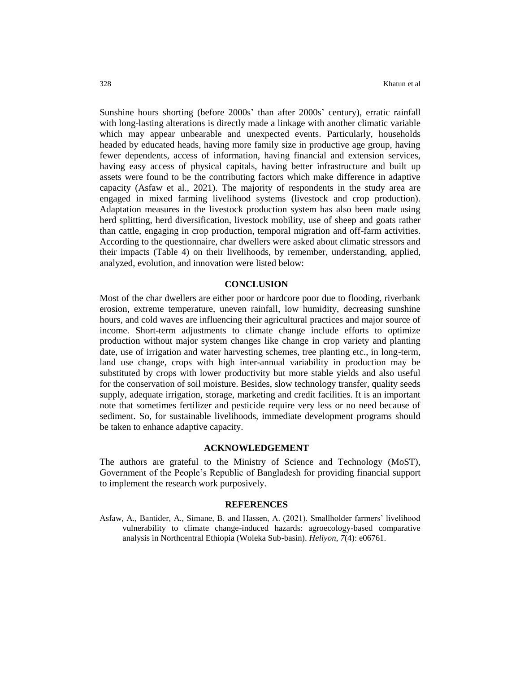Sunshine hours shorting (before 2000s' than after 2000s' century), erratic rainfall with long-lasting alterations is directly made a linkage with another climatic variable which may appear unbearable and unexpected events. Particularly, households headed by educated heads, having more family size in productive age group, having fewer dependents, access of information, having financial and extension services, having easy access of physical capitals, having better infrastructure and built up assets were found to be the contributing factors which make difference in adaptive capacity (Asfaw et al., 2021). The majority of respondents in the study area are engaged in mixed farming livelihood systems (livestock and crop production). Adaptation measures in the livestock production system has also been made using herd splitting, herd diversification, livestock mobility, use of sheep and goats rather than cattle, engaging in crop production, temporal migration and off-farm activities. According to the questionnaire, char dwellers were asked about climatic stressors and their impacts (Table 4) on their livelihoods, by remember, understanding, applied, analyzed, evolution, and innovation were listed below:

### **CONCLUSION**

Most of the char dwellers are either poor or hardcore poor due to flooding, riverbank erosion, extreme temperature, uneven rainfall, low humidity, decreasing sunshine hours, and cold waves are influencing their agricultural practices and major source of income. Short-term adjustments to climate change include efforts to optimize production without major system changes like change in crop variety and planting date, use of irrigation and water harvesting schemes, tree planting etc., in long-term, land use change, crops with high inter-annual variability in production may be substituted by crops with lower productivity but more stable yields and also useful for the conservation of soil moisture. Besides, slow technology transfer, quality seeds supply, adequate irrigation, storage, marketing and credit facilities. It is an important note that sometimes fertilizer and pesticide require very less or no need because of sediment. So, for sustainable livelihoods, immediate development programs should be taken to enhance adaptive capacity.

### **ACKNOWLEDGEMENT**

The authors are grateful to the Ministry of Science and Technology (MoST), Government of the People's Republic of Bangladesh for providing financial support to implement the research work purposively.

#### **REFERENCES**

Asfaw, A., Bantider, A., Simane, B. and Hassen, A. (2021). Smallholder farmers' livelihood vulnerability to climate change-induced hazards: agroecology-based comparative analysis in Northcentral Ethiopia (Woleka Sub-basin). *Heliyon*, *7*(4): e06761.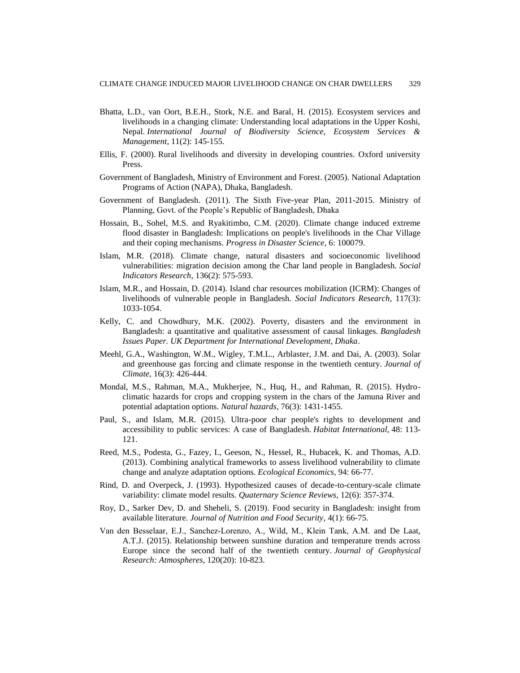- Bhatta, L.D., van Oort, B.E.H., Stork, N.E. and Baral, H. (2015). Ecosystem services and livelihoods in a changing climate: Understanding local adaptations in the Upper Koshi, Nepal. *International Journal of Biodiversity Science, Ecosystem Services & Management*, 11(2): 145-155.
- Ellis, F. (2000). Rural livelihoods and diversity in developing countries. Oxford university Press.
- Government of Bangladesh, Ministry of Environment and Forest. (2005). National Adaptation Programs of Action (NAPA), Dhaka, Bangladesh.
- Government of Bangladesh. (2011). The Sixth Five-year Plan, 2011-2015. Ministry of Planning, Govt. of the People's Republic of Bangladesh, Dhaka
- Hossain, B., Sohel, M.S. and Ryakitimbo, C.M. (2020). Climate change induced extreme flood disaster in Bangladesh: Implications on people's livelihoods in the Char Village and their coping mechanisms. *Progress in Disaster Science*, 6: 100079.
- Islam, M.R. (2018). Climate change, natural disasters and socioeconomic livelihood vulnerabilities: migration decision among the Char land people in Bangladesh. *Social Indicators Research*, 136(2): 575-593.
- Islam, M.R., and Hossain, D. (2014). Island char resources mobilization (ICRM): Changes of livelihoods of vulnerable people in Bangladesh. *Social Indicators Research*, 117(3): 1033-1054.
- Kelly, C. and Chowdhury, M.K. (2002). Poverty, disasters and the environment in Bangladesh: a quantitative and qualitative assessment of causal linkages. *Bangladesh Issues Paper. UK Department for International Development, Dhaka*.
- Meehl, G.A., Washington, W.M., Wigley, T.M.L., Arblaster, J.M. and Dai, A. (2003). Solar and greenhouse gas forcing and climate response in the twentieth century. *Journal of Climate*, 16(3): 426-444.
- Mondal, M.S., Rahman, M.A., Mukherjee, N., Huq, H., and Rahman, R. (2015). Hydroclimatic hazards for crops and cropping system in the chars of the Jamuna River and potential adaptation options. *Natural hazards*, 76(3): 1431-1455.
- Paul, S., and Islam, M.R. (2015). Ultra-poor char people's rights to development and accessibility to public services: A case of Bangladesh. *Habitat International*, 48: 113- 121.
- Reed, M.S., Podesta, G., Fazey, I., Geeson, N., Hessel, R., Hubacek, K. and Thomas, A.D. (2013). Combining analytical frameworks to assess livelihood vulnerability to climate change and analyze adaptation options. *Ecological Economics*, 94: 66-77.
- Rind, D. and Overpeck, J. (1993). Hypothesized causes of decade-to-century-scale climate variability: climate model results. *Quaternary Science Reviews*, 12(6): 357-374.
- Roy, D., Sarker Dev, D. and Sheheli, S. (2019). Food security in Bangladesh: insight from available literature. *Journal of Nutrition and Food Security*, 4(1): 66-75.
- Van den Besselaar, E.J., Sanchez‐Lorenzo, A., Wild, M., Klein Tank, A.M. and De Laat, A.T.J. (2015). Relationship between sunshine duration and temperature trends across Europe since the second half of the twentieth century. *Journal of Geophysical Research: Atmospheres*, 120(20): 10-823.